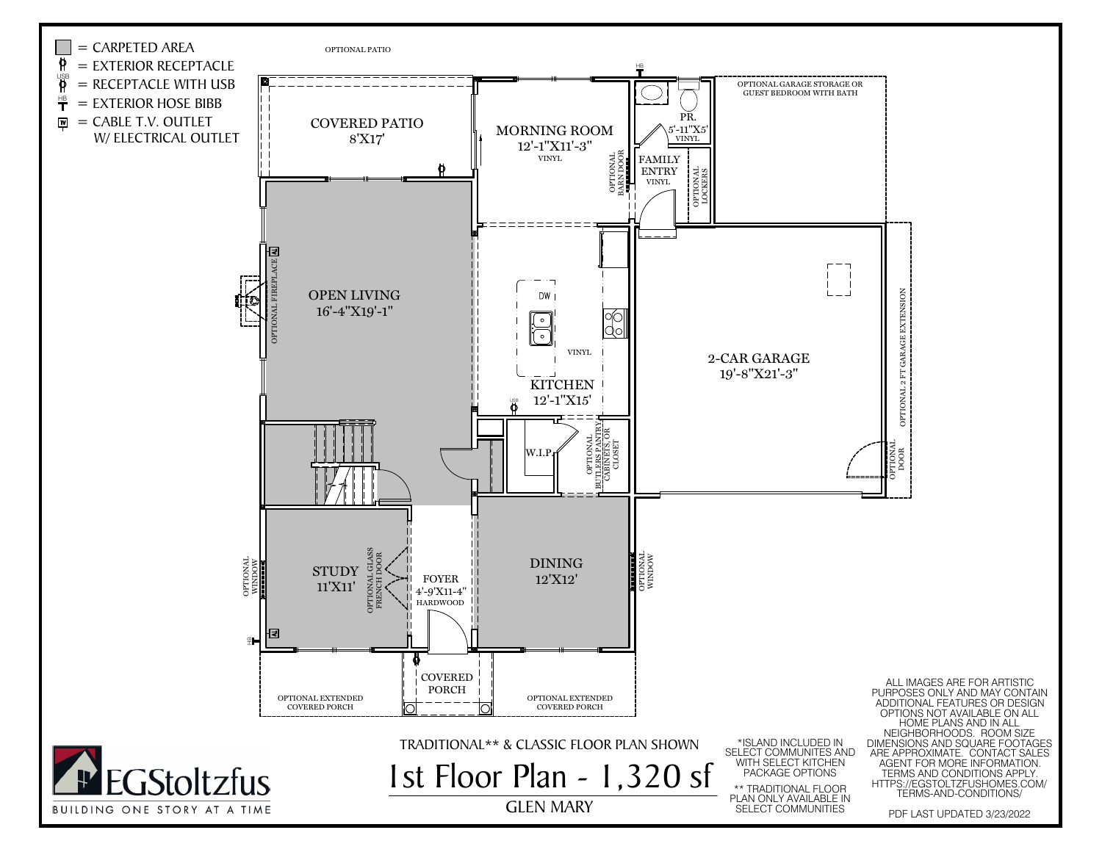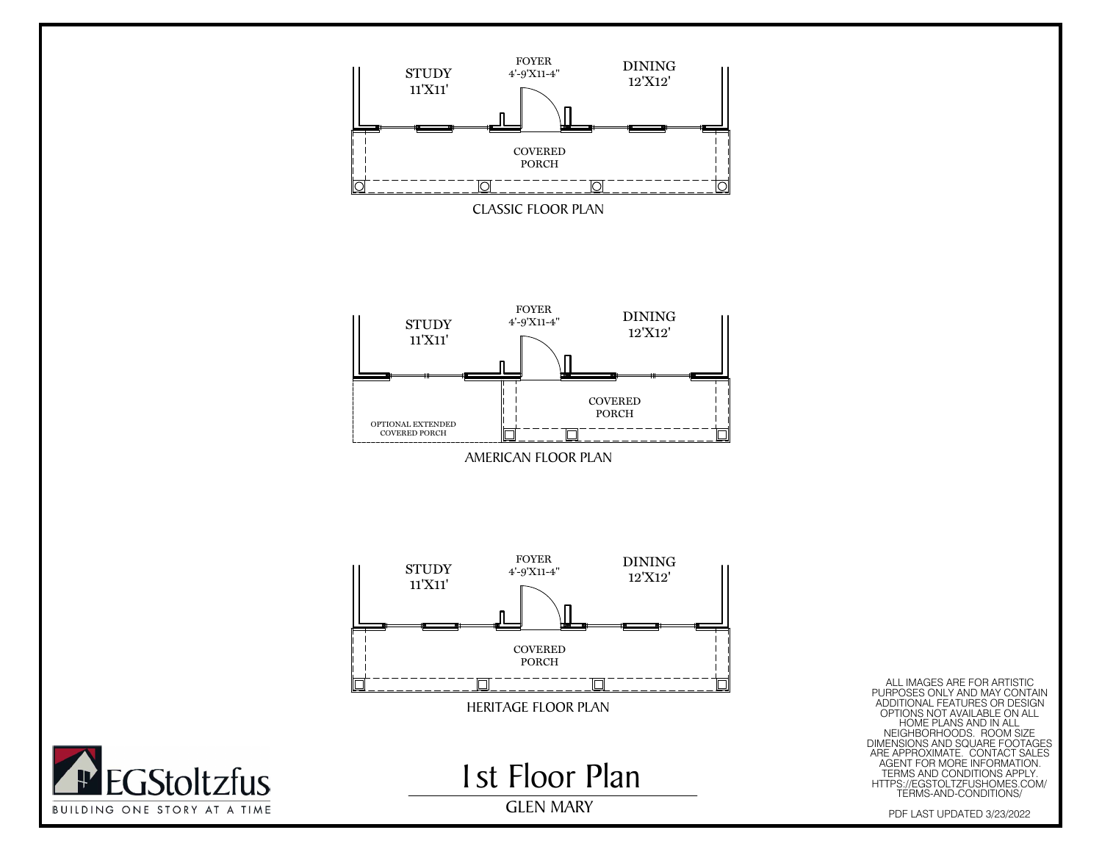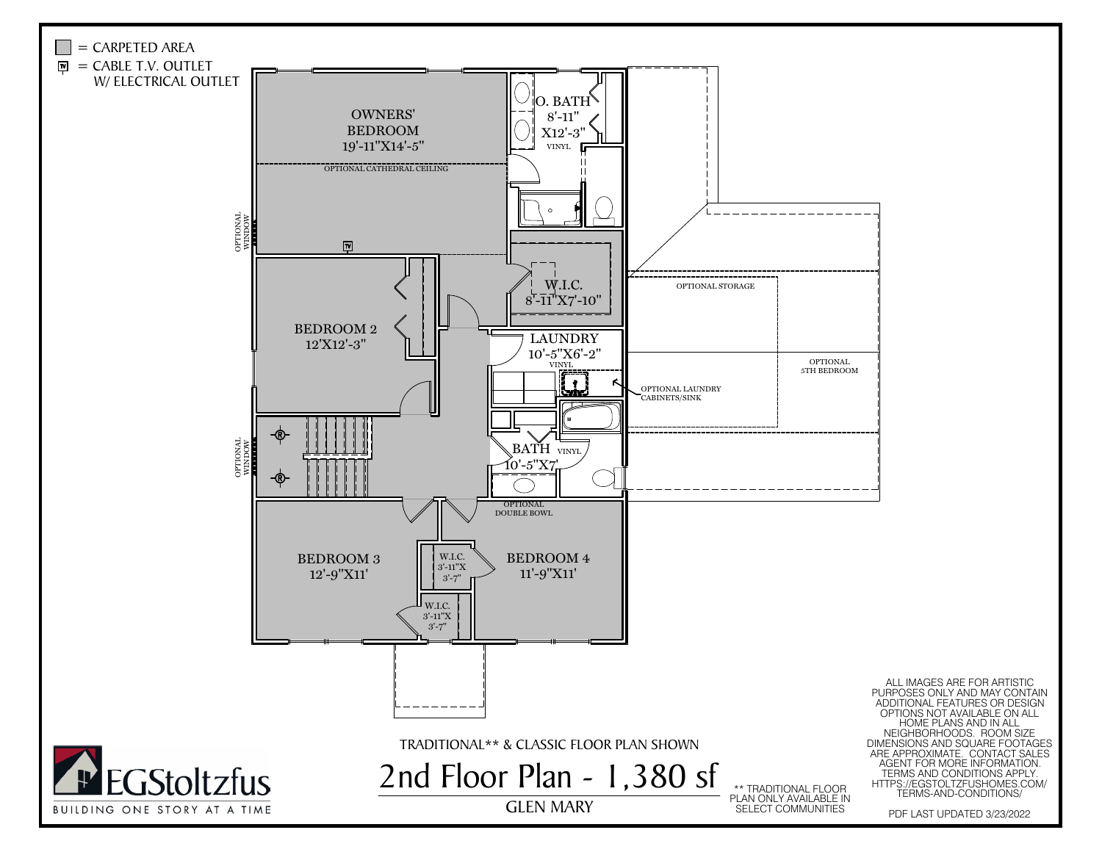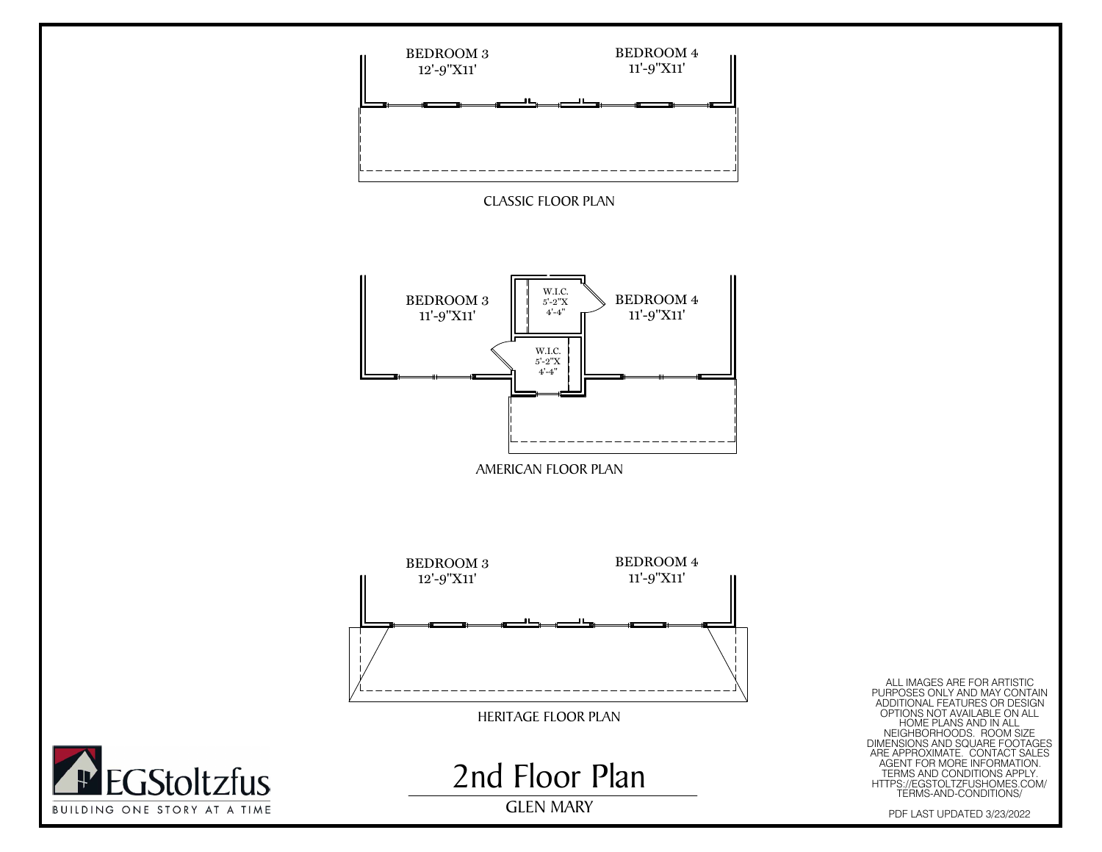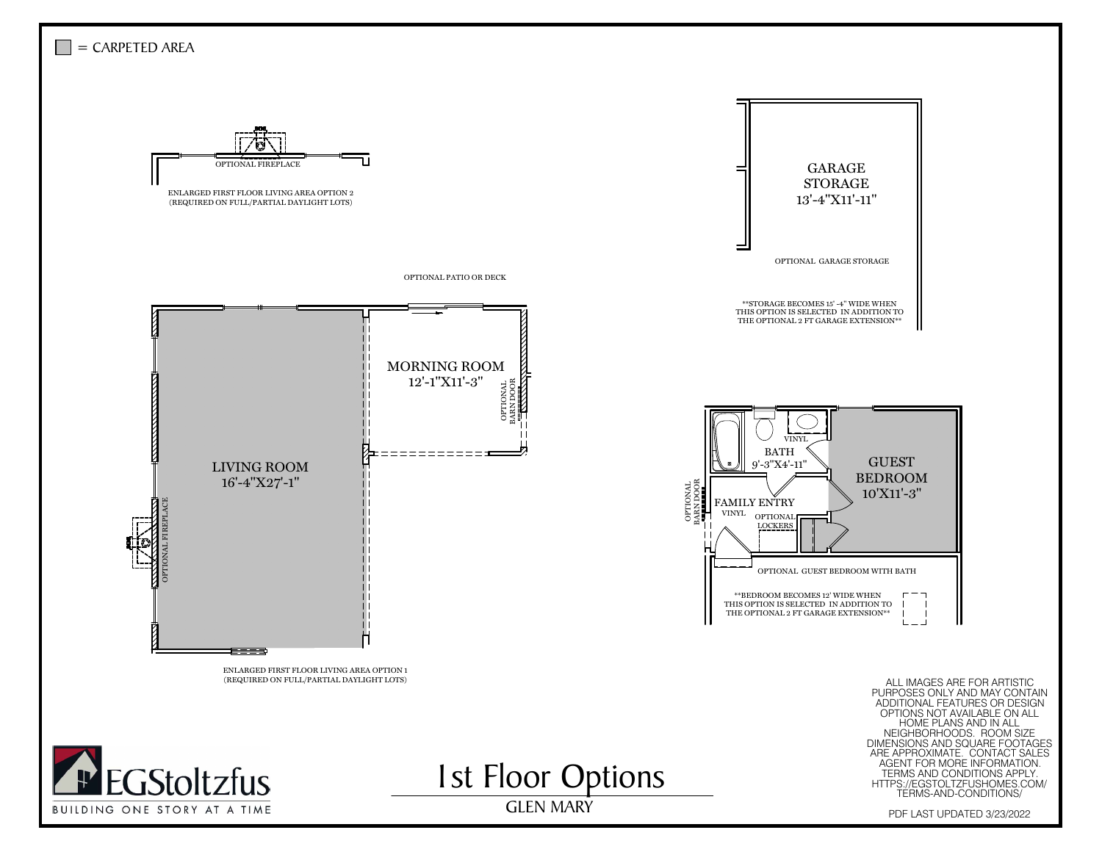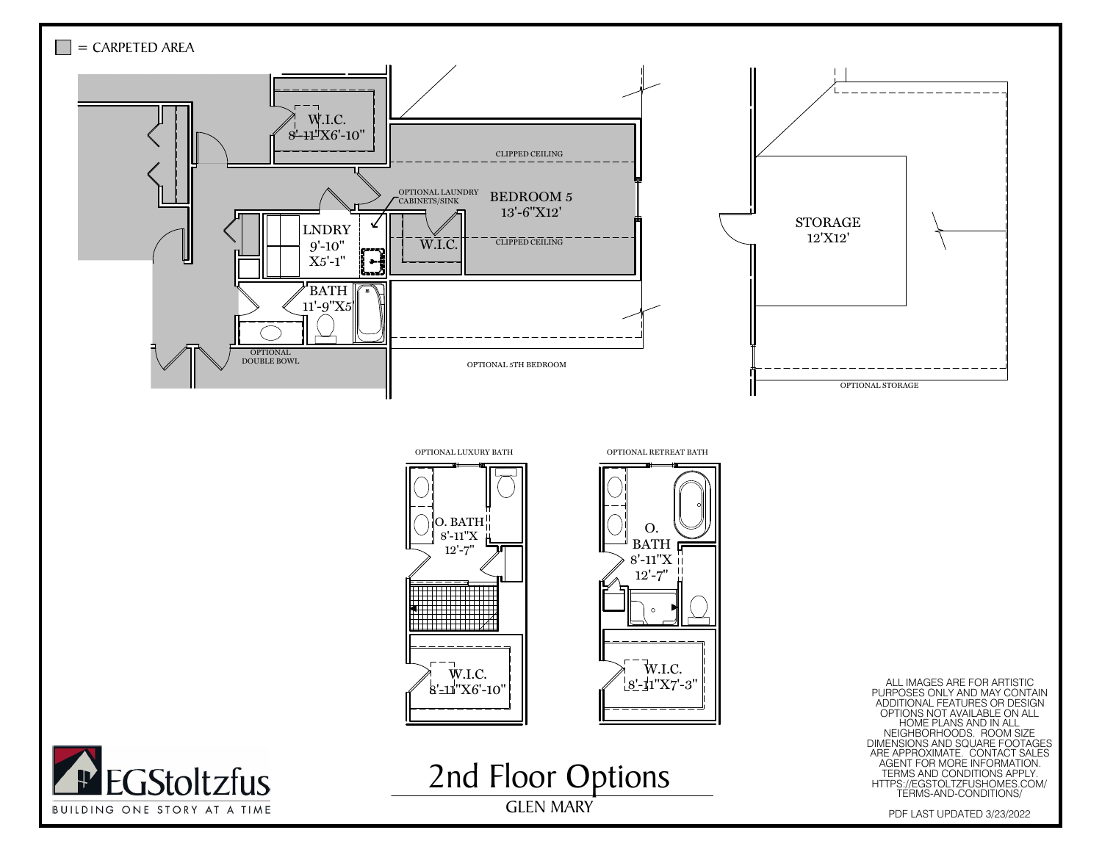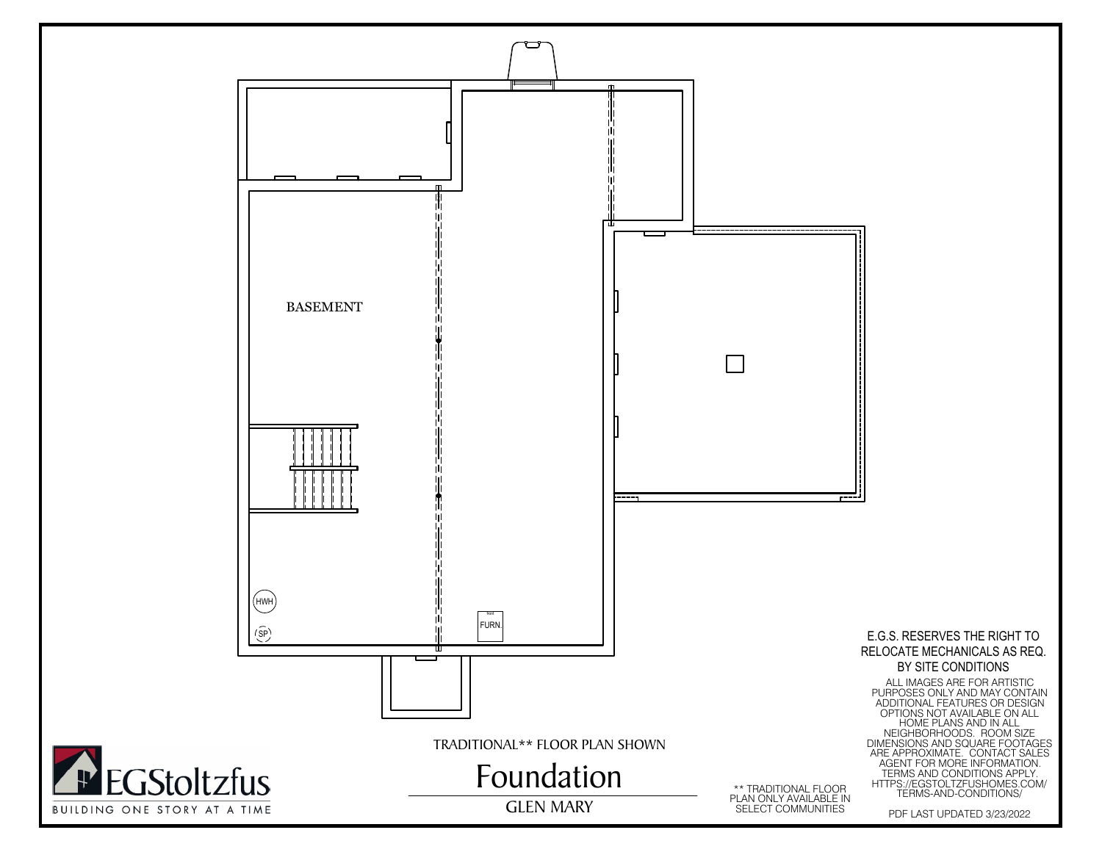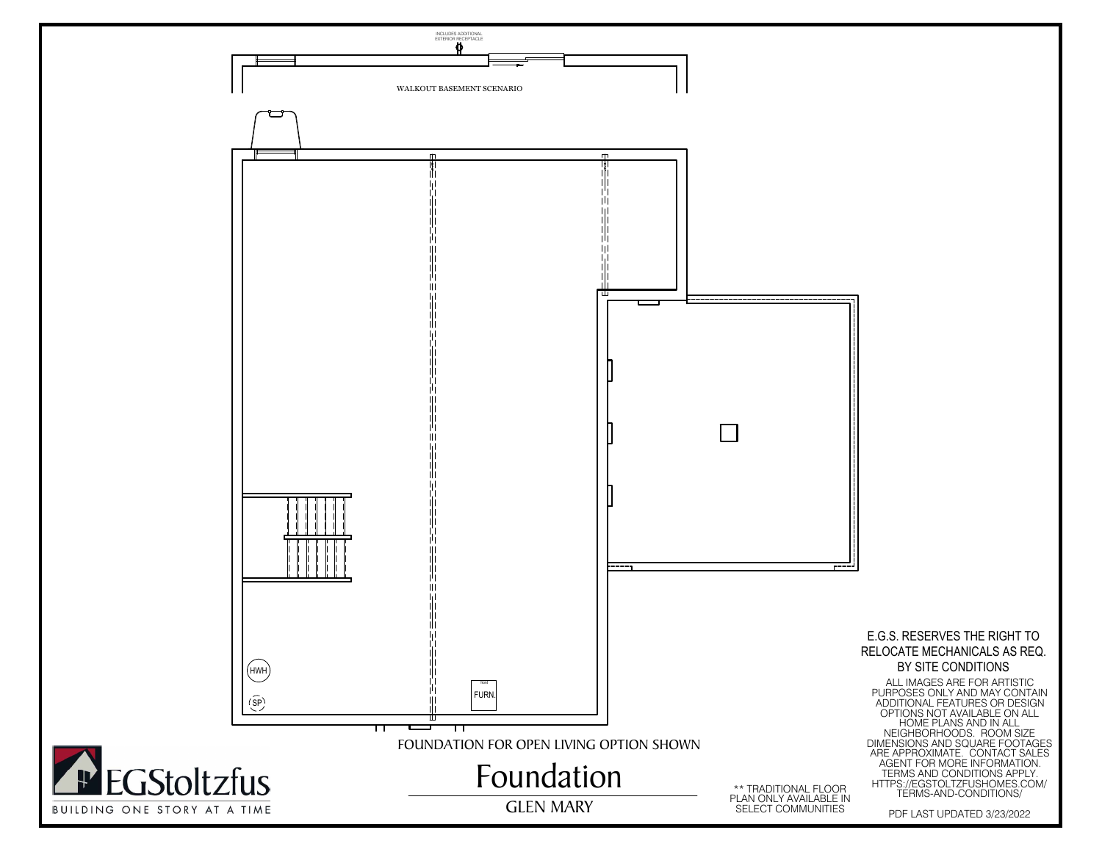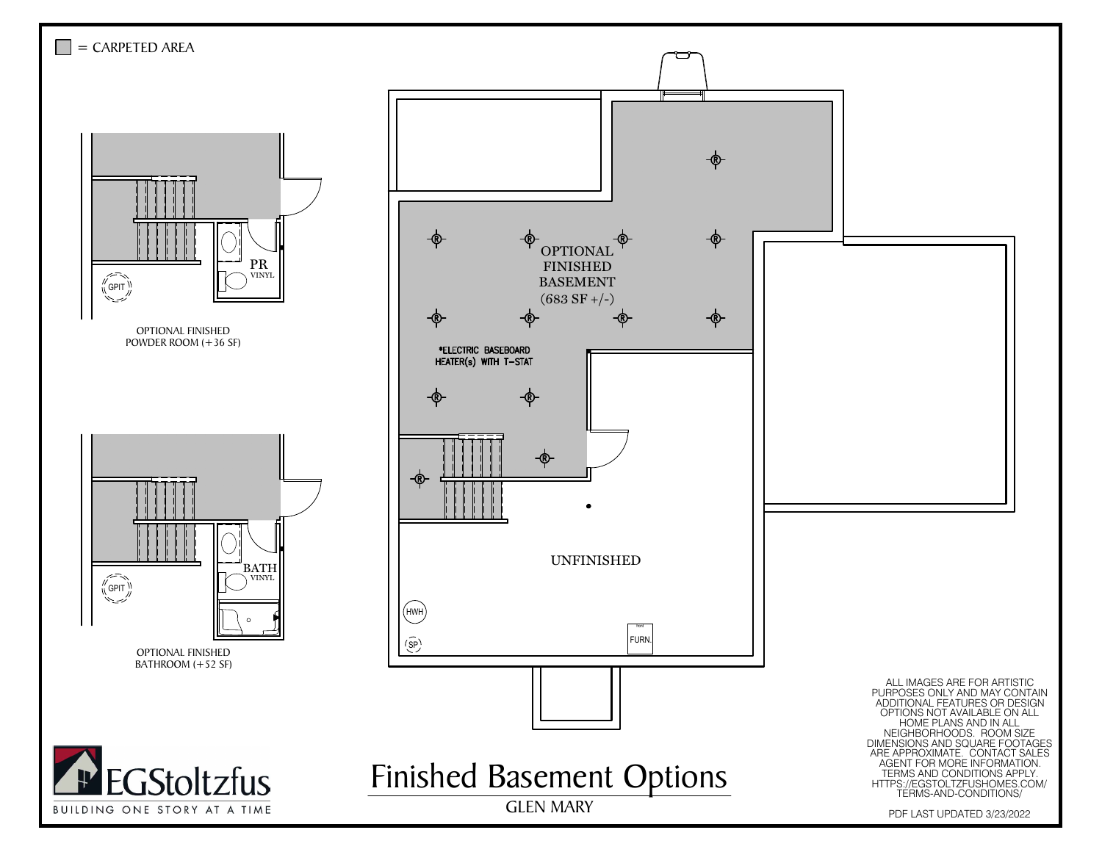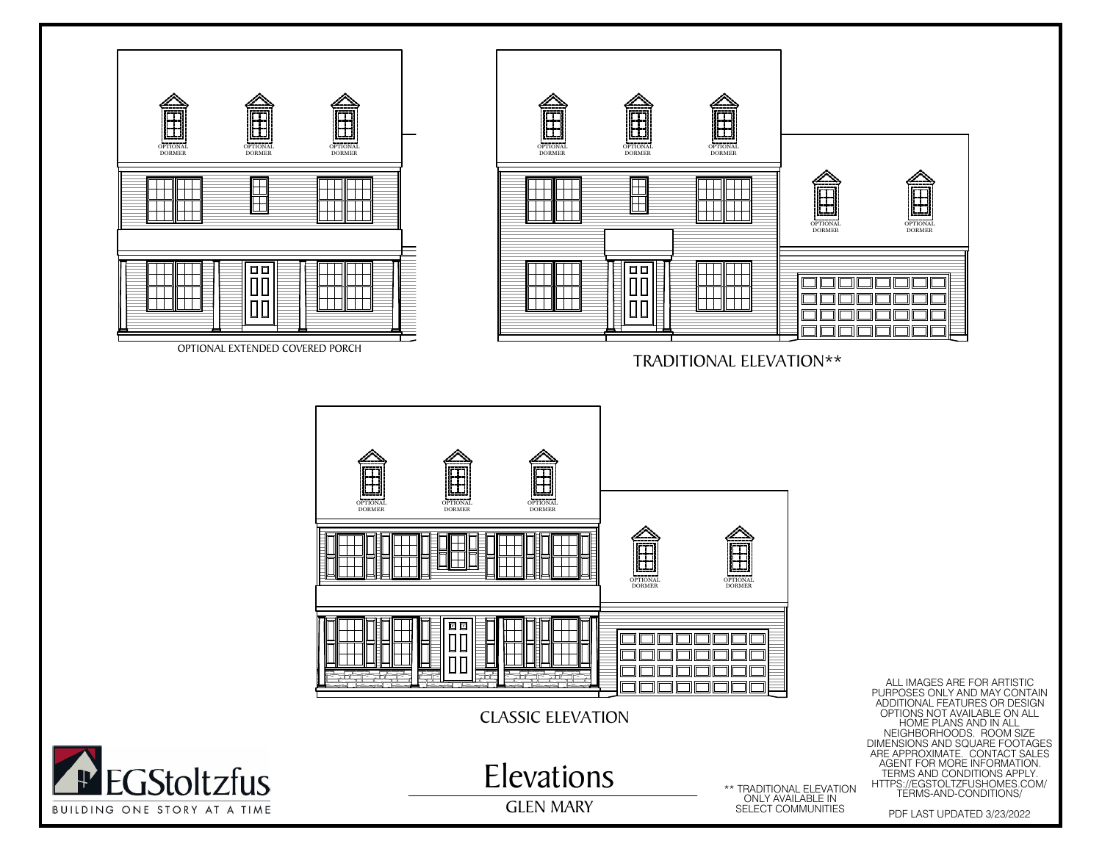